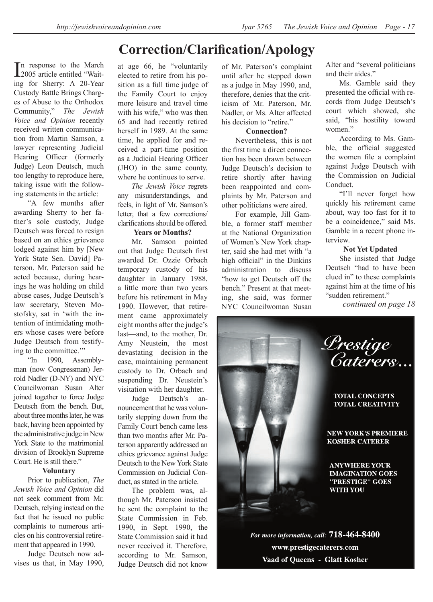# **Correction/Clarification/Apology**

In response to the March<br>
2005 article entitled "Wait-2005 article entitled "Waiting for Sherry: A 20-Year Custody Battle Brings Charges of Abuse to the Orthodox Community," *The Jewish Voice and Opinion* recently received written communication from Martin Samson, a lawyer representing Judicial Hearing Officer (formerly Judge) Leon Deutsch, much too lengthy to reproduce here, taking issue with the following statements in the article:

"A few months after awarding Sherry to her father's sole custody, Judge Deutsch was forced to resign based on an ethics grievance lodged against him by [New York State Sen. David] Paterson. Mr. Paterson said he acted because, during hearings he was holding on child abuse cases, Judge Deutsch's law secretary, Steven Mostofsky, sat in 'with the intention of intimidating mothers whose cases were before Judge Deutsch from testifying to the committee.'"

"In 1990, Assemblyman (now Congressman) Jerrold Nadler (D-NY) and NYC Councilwoman Susan Alter joined together to force Judge Deutsch from the bench. But, about three months later, he was back, having been appointed by the administrative judge in New York State to the matrimonial division of Brooklyn Supreme Court. He is still there."

#### **Voluntary**

Prior to publication, *The Jewish Voice and Opinion* did not seek comment from Mr. Deutsch, relying instead on the fact that he issued no public complaints to numerous articles on his controversial retirement that appeared in 1990.

Judge Deutsch now advises us that, in May 1990,

at age 66, he "voluntarily elected to retire from his position as a full time judge of the Family Court to enjoy more leisure and travel time with his wife," who was then 65 and had recently retired herself in 1989. At the same time, he applied for and received a part-time position as a Judicial Hearing Officer (JHO) in the same county, where he continues to serve.

*The Jewish Voice* regrets any misunderstandings, and feels, in light of Mr. Samson's letter, that a few corrections/ clarifications should be offered.

#### **Years or Months?**

Mr. Samson pointed out that Judge Deutsch first awarded Dr. Ozzie Orbach temporary custody of his daughter in January 1988, a little more than two years before his retirement in May 1990. However, that retirement came approximately eight months after the judge's last—and, to the mother, Dr. Amy Neustein, the most devastating—decision in the case, maintaining permanent custody to Dr. Orbach and suspending Dr. Neustein's visitation with her daughter.

Judge Deutsch's announcement that he was voluntarily stepping down from the Family Court bench came less than two months after Mr. Paterson apparently addressed an ethics grievance against Judge Deutsch to the New York State Commission on Judicial Conduct, as stated in the article.

The problem was, although Mr. Paterson insisted he sent the complaint to the State Commission in Feb. 1990, in Sept. 1990, the State Commission said it had never received it. Therefore, according to Mr. Samson, Judge Deutsch did not know

of Mr. Paterson's complaint until after he stepped down as a judge in May 1990, and, therefore, denies that the criticism of Mr. Paterson, Mr. Nadler, or Ms. Alter affected his decision to "retire."

#### **Connection?**

Nevertheless, this is not the first time a direct connection has been drawn between Judge Deutsch's decision to retire shortly after having been reappointed and complaints by Mr. Paterson and other politicians were aired.

For example, Jill Gamble, a former staff member at the National Organization of Women's New York chapter, said she had met with "a high official" in the Dinkins administration to discuss "how to get Deutsch off the bench." Present at that meeting, she said, was former NYC Councilwoman Susan Alter and "several politicians and their aides."

Ms. Gamble said they presented the official with records from Judge Deutsch's court which showed, she said, "his hostility toward women<sup>"</sup>

According to Ms. Gamble, the official suggested the women file a complaint against Judge Deutsch with the Commission on Judicial Conduct.

"I'll never forget how quickly his retirement came about, way too fast for it to be a coincidence," said Ms. Gamble in a recent phone interview.

#### **Not Yet Updated**

She insisted that Judge Deutsch "had to have been clued in" to these complaints against him at the time of his "sudden retirement."

*continued on page 18*



For more information, call: 718-464-8400 www.prestigecaterers.com Vaad of Queens - Glatt Kosher